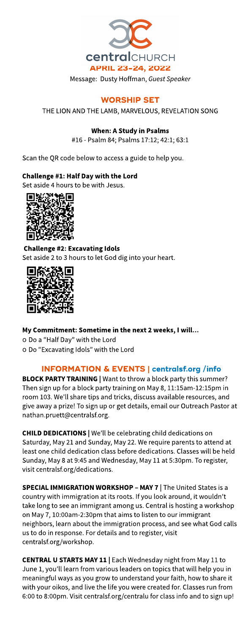

# **WORSHIP SET**

THE LION AND THE LAMB, MARVELOUS, REVELATION SONG

### When: AStudy in Psalms

#16- Psalm 84; Psalms17:12; 42:1; 63:1

Scan the QR code below to access a guide to help you.

### Challenge #1: Half Day with the Lord

Set aside 4 hours to be with Jesus.



Challenge #2: Excavating Idols Set aside 2 to 3 hours to let God dig into your heart.



My Commitment: Sometime in the next 2 weeks, I will... o Do a "Half Day" with the Lord o Do "Excavating Idols" with the Lord

## INFORMATION& EVENTS| **[centralsf.org/info](http://centralsf.org/info)**

BLOCK PARTY TRAINING | Want to throw a block party this summer? Then sign up for a block party training on May 8, 11:15am-12:15pm in room 103. We'll share tips and tricks, discuss available resources, and give away a prize! To sign up or get details, email our Outreach Pastor at nathan.pruett@centralsf.org.

**CHILD DEDICATIONS** | We'll be celebrating child dedications on Saturday, May 21 and Sunday, May 22. We require parents to attend at least one child dedication class before dedications. Classes will be held Sunday, May 8 at 9:45 and Wednesday, May 11 at 5:30pm. To register, visit centralsf.org/dedications.

SPECIAL IMMIGRATION WORKSHOP - MAY 7 | The United States is a country with immigration at its roots. If you look around, it wouldn't take long to see an immigrant among us. Central is hosting a workshop on May 7, 10:00am-2:30pm that aimsto listen to our immigrant neighbors, learn about the immigration process, and seewhat God calls us to do in response. For details and to register, visit centralsf.org/workshop.

CENTRAL U STARTS MAY 11 | Each Wednesday night from May 11 to June 1, you'll learn from various leaders on topics that will help you in meaningful ways as you grow to understand your faith, how to share it with your oikos, and live the life you were created for. Classes run from 6:00 to 8:00pm. Visit centralsf.org/centralu for classinfo and to sign up!